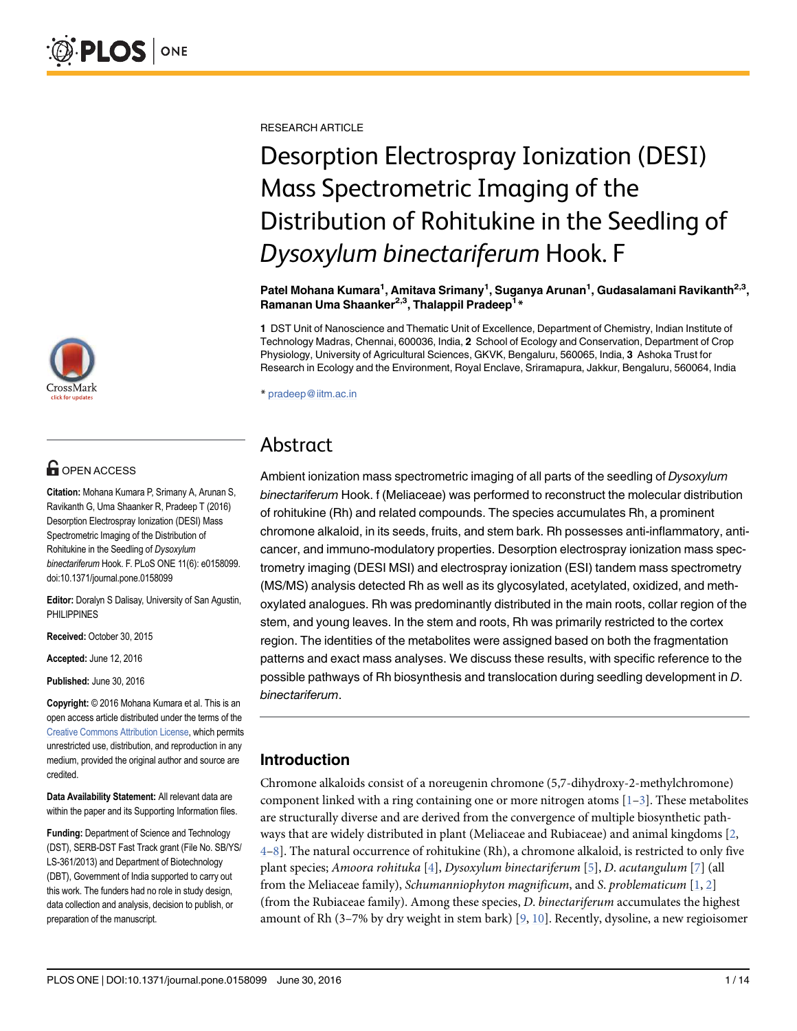

## **G** OPEN ACCESS

Citation: Mohana Kumara P, Srimany A, Arunan S, Ravikanth G, Uma Shaanker R, Pradeep T (2016) Desorption Electrospray Ionization (DESI) Mass Spectrometric Imaging of the Distribution of Rohitukine in the Seedling of Dysoxylum binectariferum Hook. F. PLoS ONE 11(6): e0158099. doi:10.1371/journal.pone.0158099

Editor: Doralyn S Dalisay, University of San Agustin, PHILIPPINES

Received: October 30, 2015

Accepted: June 12, 2016

Published: June 30, 2016

Copyright: © 2016 Mohana Kumara et al. This is an open access article distributed under the terms of the Creative Commons Attribution License, which permits unrestricted use, distribution, and reproduction in any medium, provided the original author and source are credited.

Data Availability Statement: All relevant data are within the paper and its Supporting Information files.

Funding: Department of Science and Technology (DST), SERB-DST Fast Track grant (File No. SB/YS/ LS-361/2013) and Department of Biotechnology (DBT), Government of India supported to carry out this work. The funders had no role in study design, data collection and analysis, decision to publish, or preparation of the manuscript.

RESEARCH ARTICLE

# Desorption Electrospray Ionization (DESI) Mass Spectrometric Imaging of the Distribution of Rohitukine in the Seedling of Dysoxylum binectariferum Hook. F

Patel Mohana Kumara<sup>1</sup>, Amitava Srimany<sup>1</sup>, Suganya Arunan<sup>1</sup>, Gudasalamani Ravikanth<sup>2,3</sup>, Ramanan Uma Shaanker<sup>2,3</sup>, Thalappil Pradeep<sup>1</sup>\*

1 DST Unit of Nanoscience and Thematic Unit of Excellence, Department of Chemistry, Indian Institute of Technology Madras, Chennai, 600036, India, 2 School of Ecology and Conservation, Department of Crop Physiology, University of Agricultural Sciences, GKVK, Bengaluru, 560065, India, 3 Ashoka Trust for Research in Ecology and the Environment, Royal Enclave, Sriramapura, Jakkur, Bengaluru, 560064, India

\* pradeep@iitm.ac.in

### Abstract

Ambient ionization mass spectrometric imaging of all parts of the seedling of Dysoxylum binectariferum Hook. f (Meliaceae) was performed to reconstruct the molecular distribution of rohitukine (Rh) and related compounds. The species accumulates Rh, a prominent chromone alkaloid, in its seeds, fruits, and stem bark. Rh possesses anti-inflammatory, anticancer, and immuno-modulatory properties. Desorption electrospray ionization mass spectrometry imaging (DESI MSI) and electrospray ionization (ESI) tandem mass spectrometry (MS/MS) analysis detected Rh as well as its glycosylated, acetylated, oxidized, and methoxylated analogues. Rh was predominantly distributed in the main roots, collar region of the stem, and young leaves. In the stem and roots, Rh was primarily restricted to the cortex region. The identities of the metabolites were assigned based on both the fragmentation patterns and exact mass analyses. We discuss these results, with specific reference to the possible pathways of Rh biosynthesis and translocation during seedling development in D. binectariferum.

### Introduction

Chromone alkaloids consist of a noreugenin chromone (5,7-dihydroxy-2-methylchromone) component linked with a ring containing one or more nitrogen atoms [1–3]. These metabolites are structurally diverse and are derived from the convergence of multiple biosynthetic pathways that are widely distributed in plant (Meliaceae and Rubiaceae) and animal kingdoms [2,  $4-8$ ]. The natural occurrence of rohitukine (Rh), a chromone alkaloid, is restricted to only five plant species; Amoora rohituka  $[4]$ , Dysoxylum binectariferum  $[5]$ , D. acutangulum  $[7]$  (all from the Meliaceae family), Schumanniophyton magnificum, and S. problematicum  $[1, 2]$ (from the Rubiaceae family). Among these species, D. binectariferum accumulates the highest amount of Rh (3–7% by dry weight in stem bark) [9, 10]. Recently, dysoline, a new regioisomer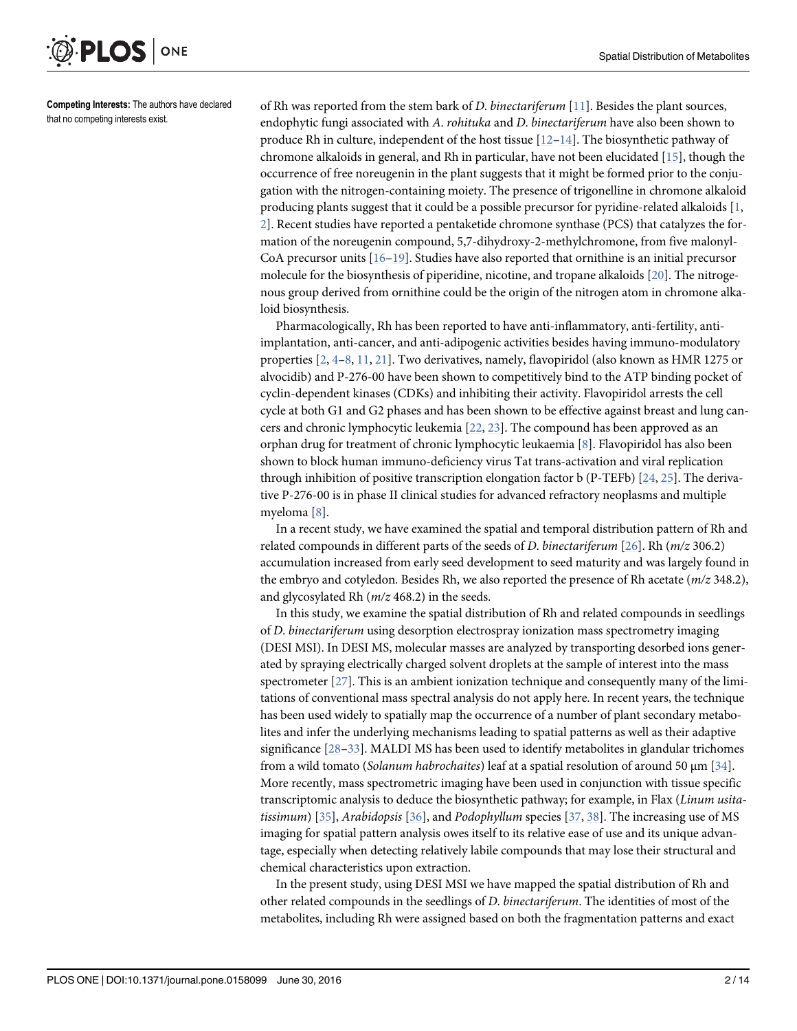

Competing Interests: The authors have declared that no competing interests exist.

of Rh was reported from the stem bark of D. binectariferum [11]. Besides the plant sources, endophytic fungi associated with A. rohituka and D. binectariferum have also been shown to produce Rh in culture, independent of the host tissue  $[12-14]$ . The biosynthetic pathway of chromone alkaloids in general, and Rh in particular, have not been elucidated [15], though the occurrence of free noreugenin in the plant suggests that it might be formed prior to the conjugation with the nitrogen-containing moiety. The presence of trigonelline in chromone alkaloid producing plants suggest that it could be a possible precursor for pyridine-related alkaloids [1, 2]. Recent studies have reported a pentaketide chromone synthase (PCS) that catalyzes the formation of the noreugenin compound, 5,7-dihydroxy-2-methylchromone, from five malonyl-CoA precursor units  $[16-19]$ . Studies have also reported that ornithine is an initial precursor molecule for the biosynthesis of piperidine, nicotine, and tropane alkaloids [20]. The nitrogenous group derived from ornithine could be the origin of the nitrogen atom in chromone alkaloid biosynthesis.

Pharmacologically, Rh has been reported to have anti-inflammatory, anti-fertility, antiimplantation, anti-cancer, and anti-adipogenic activities besides having immuno-modulatory properties [2, 4–8, 11, 21]. Two derivatives, namely, flavopiridol (also known as HMR 1275 or alvocidib) and P-276-00 have been shown to competitively bind to the ATP binding pocket of cyclin-dependent kinases (CDKs) and inhibiting their activity. Flavopiridol arrests the cell cycle at both G1 and G2 phases and has been shown to be effective against breast and lung cancers and chronic lymphocytic leukemia [22, 23]. The compound has been approved as an orphan drug for treatment of chronic lymphocytic leukaemia [8]. Flavopiridol has also been shown to block human immuno-deficiency virus Tat trans-activation and viral replication through inhibition of positive transcription elongation factor b (P-TEFb) [24, 25]. The derivative P-276-00 is in phase II clinical studies for advanced refractory neoplasms and multiple myeloma [8].

In a recent study, we have examined the spatial and temporal distribution pattern of Rh and related compounds in different parts of the seeds of D. binectariferum [26]. Rh (m/z 306.2) accumulation increased from early seed development to seed maturity and was largely found in the embryo and cotyledon. Besides Rh, we also reported the presence of Rh acetate (m/z 348.2), and glycosylated Rh  $(m/z 468.2)$  in the seeds.

In this study, we examine the spatial distribution of Rh and related compounds in seedlings of D. binectariferum using desorption electrospray ionization mass spectrometry imaging (DESI MSI). In DESI MS, molecular masses are analyzed by transporting desorbed ions generated by spraying electrically charged solvent droplets at the sample of interest into the mass spectrometer  $[27]$ . This is an ambient ionization technique and consequently many of the limitations of conventional mass spectral analysis do not apply here. In recent years, the technique has been used widely to spatially map the occurrence of a number of plant secondary metabolites and infer the underlying mechanisms leading to spatial patterns as well as their adaptive significance [28–33]. MALDI MS has been used to identify metabolites in glandular trichomes from a wild tomato (*Solanum habrochaites*) leaf at a spatial resolution of around 50  $\mu$ m [34]. More recently, mass spectrometric imaging have been used in conjunction with tissue specific transcriptomic analysis to deduce the biosynthetic pathway; for example, in Flax (Linum usitatissimum) [35], Arabidopsis [36], and Podophyllum species [37, 38]. The increasing use of MS imaging for spatial pattern analysis owes itself to its relative ease of use and its unique advantage, especially when detecting relatively labile compounds that may lose their structural and chemical characteristics upon extraction.

In the present study, using DESI MSI we have mapped the spatial distribution of Rh and other related compounds in the seedlings of D. binectariferum. The identities of most of the metabolites, including Rh were assigned based on both the fragmentation patterns and exact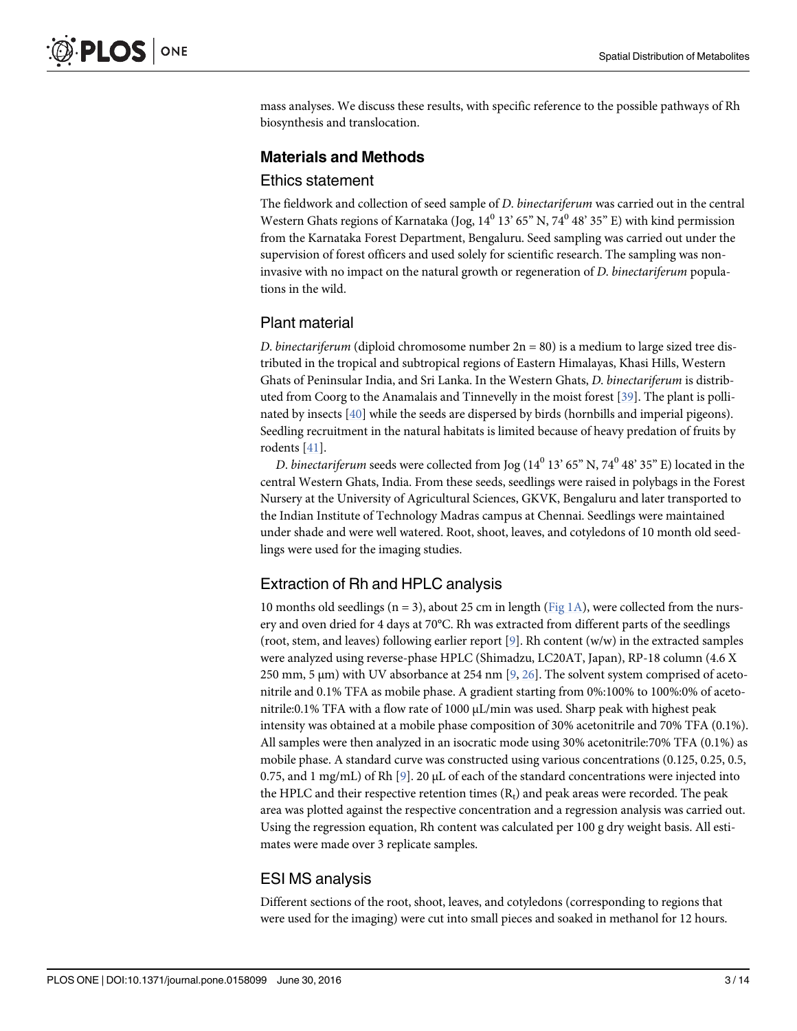mass analyses. We discuss these results, with specific reference to the possible pathways of Rh biosynthesis and translocation.

#### Materials and Methods

#### Ethics statement

The fieldwork and collection of seed sample of D. binectariferum was carried out in the central Western Ghats regions of Karnataka (Jog,  $14^0$  13' 65" N, 7 $4^0$  48' 35" E) with kind permission from the Karnataka Forest Department, Bengaluru. Seed sampling was carried out under the supervision of forest officers and used solely for scientific research. The sampling was noninvasive with no impact on the natural growth or regeneration of D. binectariferum populations in the wild.

#### Plant material

D. binectariferum (diploid chromosome number  $2n = 80$ ) is a medium to large sized tree distributed in the tropical and subtropical regions of Eastern Himalayas, Khasi Hills, Western Ghats of Peninsular India, and Sri Lanka. In the Western Ghats, D. binectariferum is distributed from Coorg to the Anamalais and Tinnevelly in the moist forest [39]. The plant is pollinated by insects [40] while the seeds are dispersed by birds (hornbills and imperial pigeons). Seedling recruitment in the natural habitats is limited because of heavy predation of fruits by rodents [41].

D. binectariferum seeds were collected from Jog (14 $^0$  13' 65" N, 74 $^0$  48' 35" E) located in the central Western Ghats, India. From these seeds, seedlings were raised in polybags in the Forest Nursery at the University of Agricultural Sciences, GKVK, Bengaluru and later transported to the Indian Institute of Technology Madras campus at Chennai. Seedlings were maintained under shade and were well watered. Root, shoot, leaves, and cotyledons of 10 month old seedlings were used for the imaging studies.

#### Extraction of Rh and HPLC analysis

10 months old seedlings (n = 3), about 25 cm in length ( $Fig 1A$ ), were collected from the nursery and oven dried for 4 days at 70°C. Rh was extracted from different parts of the seedlings (root, stem, and leaves) following earlier report  $[9]$ . Rh content  $(w/w)$  in the extracted samples were analyzed using reverse-phase HPLC (Shimadzu, LC20AT, Japan), RP-18 column (4.6 X 250 mm, 5  $\mu$ m) with UV absorbance at 254 nm [9, 26]. The solvent system comprised of acetonitrile and 0.1% TFA as mobile phase. A gradient starting from 0%:100% to 100%:0% of acetonitrile:0.1% TFA with a flow rate of 1000 μL/min was used. Sharp peak with highest peak intensity was obtained at a mobile phase composition of 30% acetonitrile and 70% TFA (0.1%). All samples were then analyzed in an isocratic mode using 30% acetonitrile:70% TFA (0.1%) as mobile phase. A standard curve was constructed using various concentrations (0.125, 0.25, 0.5, 0.75, and 1 mg/mL) of Rh [9]. 20  $\mu$ L of each of the standard concentrations were injected into the HPLC and their respective retention times  $(R_t)$  and peak areas were recorded. The peak area was plotted against the respective concentration and a regression analysis was carried out. Using the regression equation, Rh content was calculated per 100 g dry weight basis. All estimates were made over 3 replicate samples.

#### ESI MS analysis

Different sections of the root, shoot, leaves, and cotyledons (corresponding to regions that were used for the imaging) were cut into small pieces and soaked in methanol for 12 hours.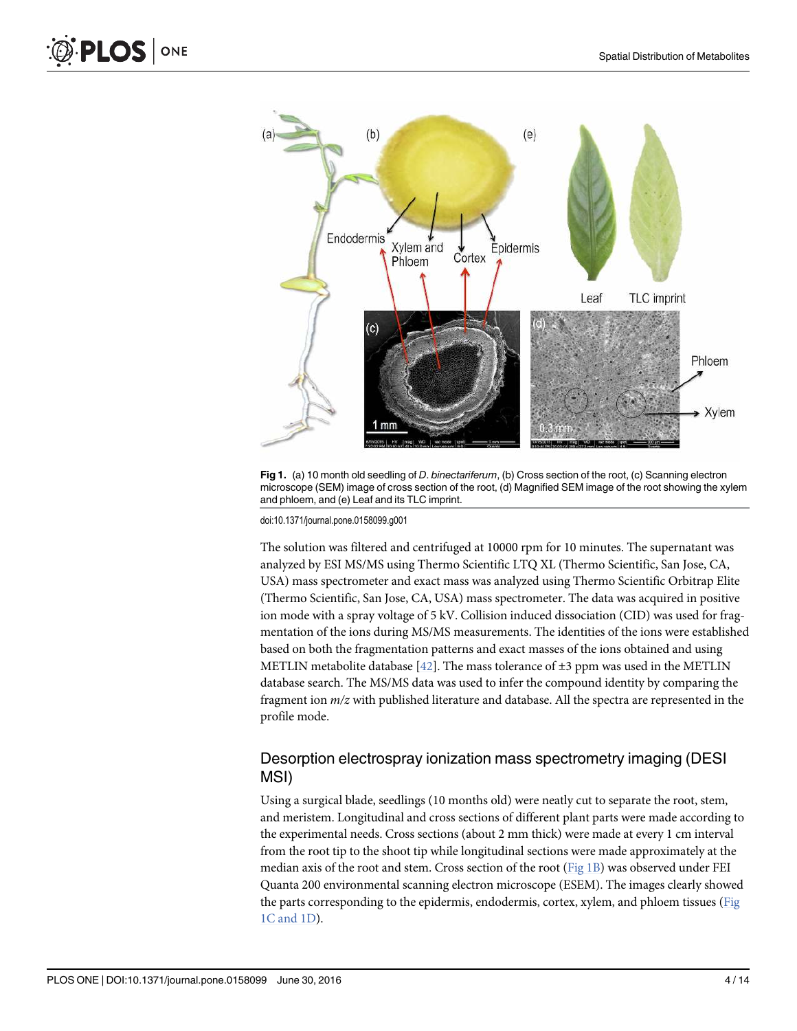

Fig 1. (a) 10 month old seedling of D. binectariferum, (b) Cross section of the root, (c) Scanning electron microscope (SEM) image of cross section of the root, (d) Magnified SEM image of the root showing the xylem and phloem, and (e) Leaf and its TLC imprint.

The solution was filtered and centrifuged at 10000 rpm for 10 minutes. The supernatant was analyzed by ESI MS/MS using Thermo Scientific LTQ XL (Thermo Scientific, San Jose, CA, USA) mass spectrometer and exact mass was analyzed using Thermo Scientific Orbitrap Elite (Thermo Scientific, San Jose, CA, USA) mass spectrometer. The data was acquired in positive ion mode with a spray voltage of 5 kV. Collision induced dissociation (CID) was used for fragmentation of the ions during MS/MS measurements. The identities of the ions were established based on both the fragmentation patterns and exact masses of the ions obtained and using METLIN metabolite database  $[42]$ . The mass tolerance of  $\pm 3$  ppm was used in the METLIN database search. The MS/MS data was used to infer the compound identity by comparing the fragment ion m/z with published literature and database. All the spectra are represented in the profile mode.

#### Desorption electrospray ionization mass spectrometry imaging (DESI MSI)

Using a surgical blade, seedlings (10 months old) were neatly cut to separate the root, stem, and meristem. Longitudinal and cross sections of different plant parts were made according to the experimental needs. Cross sections (about 2 mm thick) were made at every 1 cm interval from the root tip to the shoot tip while longitudinal sections were made approximately at the median axis of the root and stem. Cross section of the root (Fig 1B) was observed under FEI Quanta 200 environmental scanning electron microscope (ESEM). The images clearly showed the parts corresponding to the epidermis, endodermis, cortex, xylem, and phloem tissues (Fig 1C and 1D).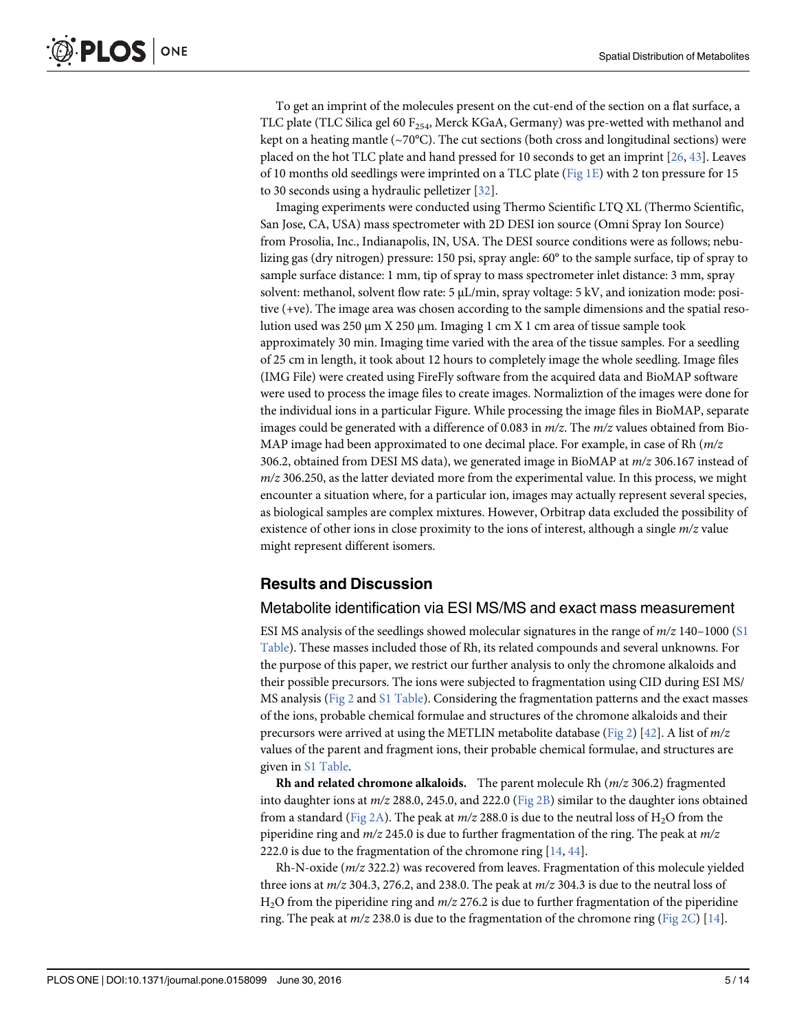To get an imprint of the molecules present on the cut-end of the section on a flat surface, a TLC plate (TLC Silica gel 60  $F_{254}$ , Merck KGaA, Germany) was pre-wetted with methanol and kept on a heating mantle ( $\sim$ 70°C). The cut sections (both cross and longitudinal sections) were placed on the hot TLC plate and hand pressed for 10 seconds to get an imprint [26, 43]. Leaves of 10 months old seedlings were imprinted on a TLC plate (Fig 1E) with 2 ton pressure for 15 to 30 seconds using a hydraulic pelletizer [32].

Imaging experiments were conducted using Thermo Scientific LTQ XL (Thermo Scientific, San Jose, CA, USA) mass spectrometer with 2D DESI ion source (Omni Spray Ion Source) from Prosolia, Inc., Indianapolis, IN, USA. The DESI source conditions were as follows; nebulizing gas (dry nitrogen) pressure: 150 psi, spray angle: 60° to the sample surface, tip of spray to sample surface distance: 1 mm, tip of spray to mass spectrometer inlet distance: 3 mm, spray solvent: methanol, solvent flow rate: 5 μL/min, spray voltage: 5 kV, and ionization mode: positive (+ve). The image area was chosen according to the sample dimensions and the spatial resolution used was 250 μm X 250 μm. Imaging 1 cm X 1 cm area of tissue sample took approximately 30 min. Imaging time varied with the area of the tissue samples. For a seedling of 25 cm in length, it took about 12 hours to completely image the whole seedling. Image files (IMG File) were created using FireFly software from the acquired data and BioMAP software were used to process the image files to create images. Normaliztion of the images were done for the individual ions in a particular Figure. While processing the image files in BioMAP, separate images could be generated with a difference of 0.083 in  $m/z$ . The  $m/z$  values obtained from Bio-MAP image had been approximated to one decimal place. For example, in case of Rh  $(m/z)$ 306.2, obtained from DESI MS data), we generated image in BioMAP at m/z 306.167 instead of  $m/z$  306.250, as the latter deviated more from the experimental value. In this process, we might encounter a situation where, for a particular ion, images may actually represent several species, as biological samples are complex mixtures. However, Orbitrap data excluded the possibility of existence of other ions in close proximity to the ions of interest, although a single  $m/z$  value might represent different isomers.

#### Results and Discussion

#### Metabolite identification via ESI MS/MS and exact mass measurement

ESI MS analysis of the seedlings showed molecular signatures in the range of  $m/z$  140–1000 (S1 Table). These masses included those of Rh, its related compounds and several unknowns. For the purpose of this paper, we restrict our further analysis to only the chromone alkaloids and their possible precursors. The ions were subjected to fragmentation using CID during ESI MS/ MS analysis (Fig  $2$  and  $S1$  Table). Considering the fragmentation patterns and the exact masses of the ions, probable chemical formulae and structures of the chromone alkaloids and their precursors were arrived at using the METLIN metabolite database (Fig 2) [42]. A list of  $m/z$ values of the parent and fragment ions, their probable chemical formulae, and structures are given in S1 Table.

Rh and related chromone alkaloids. The parent molecule Rh  $(m/z 306.2)$  fragmented into daughter ions at m/z 288.0, 245.0, and 222.0 (Fig 2B) similar to the daughter ions obtained from a standard (Fig 2A). The peak at  $m/z$  288.0 is due to the neutral loss of H<sub>2</sub>O from the piperidine ring and  $m/z$  245.0 is due to further fragmentation of the ring. The peak at  $m/z$ 222.0 is due to the fragmentation of the chromone ring  $[14, 44]$ .

Rh-N-oxide ( $m/z$  322.2) was recovered from leaves. Fragmentation of this molecule yielded three ions at  $m/z$  304.3, 276.2, and 238.0. The peak at  $m/z$  304.3 is due to the neutral loss of  $H<sub>2</sub>O$  from the piperidine ring and  $m/z$  276.2 is due to further fragmentation of the piperidine ring. The peak at  $m/z$  238.0 is due to the fragmentation of the chromone ring (Fig 2C) [14].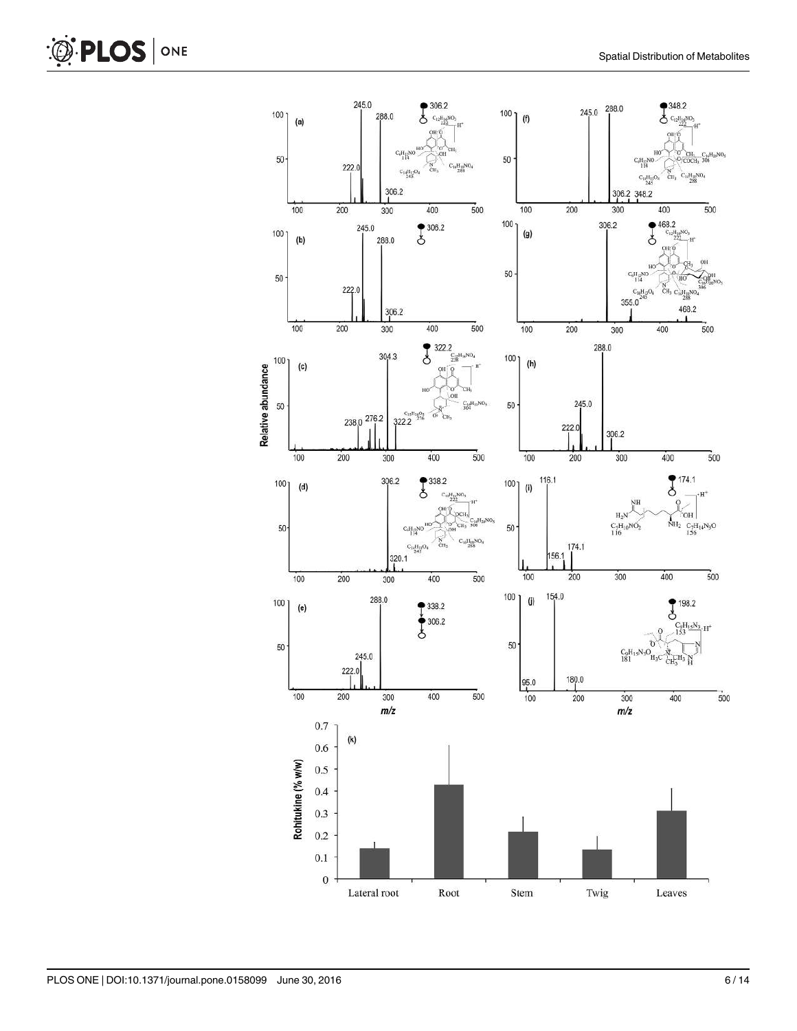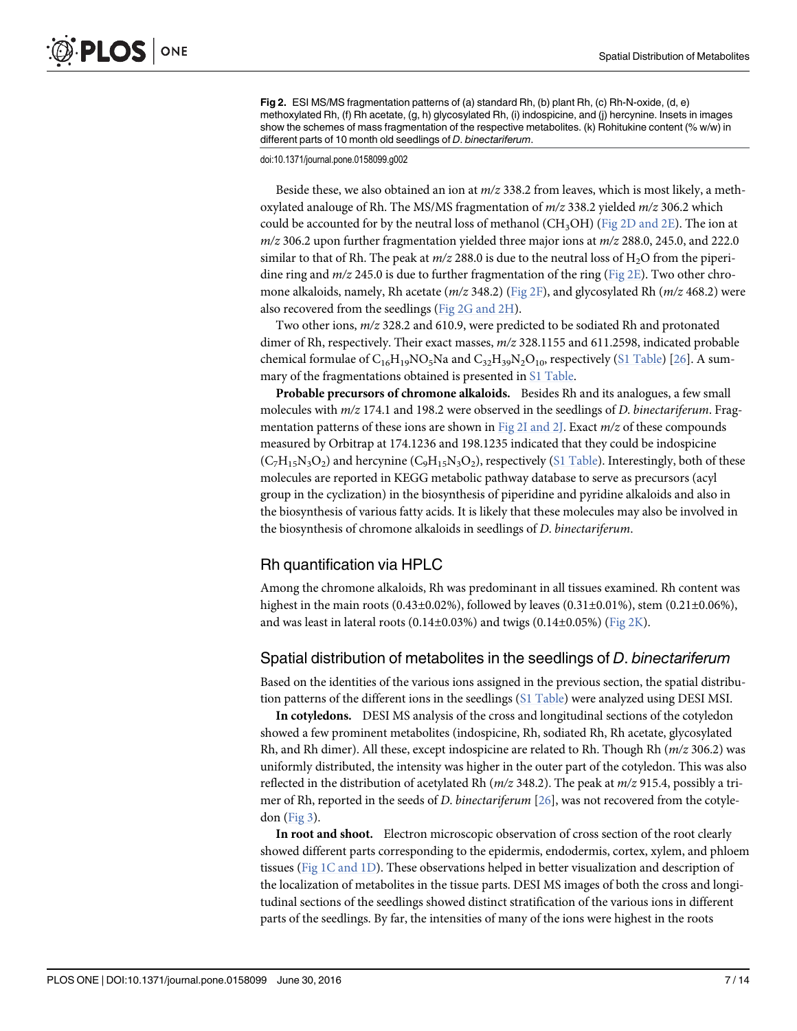Fig 2. ESI MS/MS fragmentation patterns of (a) standard Rh, (b) plant Rh, (c) Rh-N-oxide, (d, e) methoxylated Rh, (f) Rh acetate, (g, h) glycosylated Rh, (i) indospicine, and (j) hercynine. Insets in images show the schemes of mass fragmentation of the respective metabolites. (k) Rohitukine content (% w/w) in different parts of 10 month old seedlings of D. binectariferum.

#### doi:10.1371/journal.pone.0158099.g002

Beside these, we also obtained an ion at  $m/z$  338.2 from leaves, which is most likely, a methoxylated analouge of Rh. The MS/MS fragmentation of  $m/z$  338.2 yielded  $m/z$  306.2 which could be accounted for by the neutral loss of methanol (CH<sub>3</sub>OH) (Fig 2D and 2E). The ion at  $m/z$  306.2 upon further fragmentation yielded three major ions at  $m/z$  288.0, 245.0, and 222.0 similar to that of Rh. The peak at  $m/z$  288.0 is due to the neutral loss of  $H_2O$  from the piperidine ring and  $m/z$  245.0 is due to further fragmentation of the ring (Fig 2E). Two other chromone alkaloids, namely, Rh acetate ( $m/z$  348.2) (Fig 2F), and glycosylated Rh ( $m/z$  468.2) were also recovered from the seedlings (Fig 2G and 2H).

Two other ions, m/z 328.2 and 610.9, were predicted to be sodiated Rh and protonated dimer of Rh, respectively. Their exact masses,  $m/z$  328.1155 and 611.2598, indicated probable chemical formulae of  $C_{16}H_{19}NO_5N$ a and  $C_{32}H_{39}N_2O_{10}$ , respectively (S1 Table) [26]. A summary of the fragmentations obtained is presented in S1 Table.

Probable precursors of chromone alkaloids. Besides Rh and its analogues, a few small molecules with  $m/z$  174.1 and 198.2 were observed in the seedlings of *D. binectariferum*. Fragmentation patterns of these ions are shown in Fig  $2I$  and  $2J$ . Exact  $m/z$  of these compounds measured by Orbitrap at 174.1236 and 198.1235 indicated that they could be indospicine  $(C_7H_{15}N_3O_2)$  and hercynine ( $C_9H_{15}N_3O_2$ ), respectively (S1 Table). Interestingly, both of these molecules are reported in KEGG metabolic pathway database to serve as precursors (acyl group in the cyclization) in the biosynthesis of piperidine and pyridine alkaloids and also in the biosynthesis of various fatty acids. It is likely that these molecules may also be involved in the biosynthesis of chromone alkaloids in seedlings of D. binectariferum.

#### Rh quantification via HPLC

Among the chromone alkaloids, Rh was predominant in all tissues examined. Rh content was highest in the main roots  $(0.43\pm0.02\%)$ , followed by leaves  $(0.31\pm0.01\%)$ , stem  $(0.21\pm0.06\%)$ , and was least in lateral roots (0.14±0.03%) and twigs (0.14±0.05%) ( $\underline{Fig\ 2K}$ ).

#### Spatial distribution of metabolites in the seedlings of D. binectariferum

Based on the identities of the various ions assigned in the previous section, the spatial distribution patterns of the different ions in the seedlings (S1 Table) were analyzed using DESI MSI.

In cotyledons. DESI MS analysis of the cross and longitudinal sections of the cotyledon showed a few prominent metabolites (indospicine, Rh, sodiated Rh, Rh acetate, glycosylated Rh, and Rh dimer). All these, except indospicine are related to Rh. Though Rh ( $m/z$  306.2) was uniformly distributed, the intensity was higher in the outer part of the cotyledon. This was also reflected in the distribution of acetylated Rh ( $m/z$  348.2). The peak at  $m/z$  915.4, possibly a trimer of Rh, reported in the seeds of *D. binectariferum* [26], was not recovered from the cotyledon  $(Fig 3)$ .

In root and shoot. Electron microscopic observation of cross section of the root clearly showed different parts corresponding to the epidermis, endodermis, cortex, xylem, and phloem tissues (Fig 1C and 1D). These observations helped in better visualization and description of the localization of metabolites in the tissue parts. DESI MS images of both the cross and longitudinal sections of the seedlings showed distinct stratification of the various ions in different parts of the seedlings. By far, the intensities of many of the ions were highest in the roots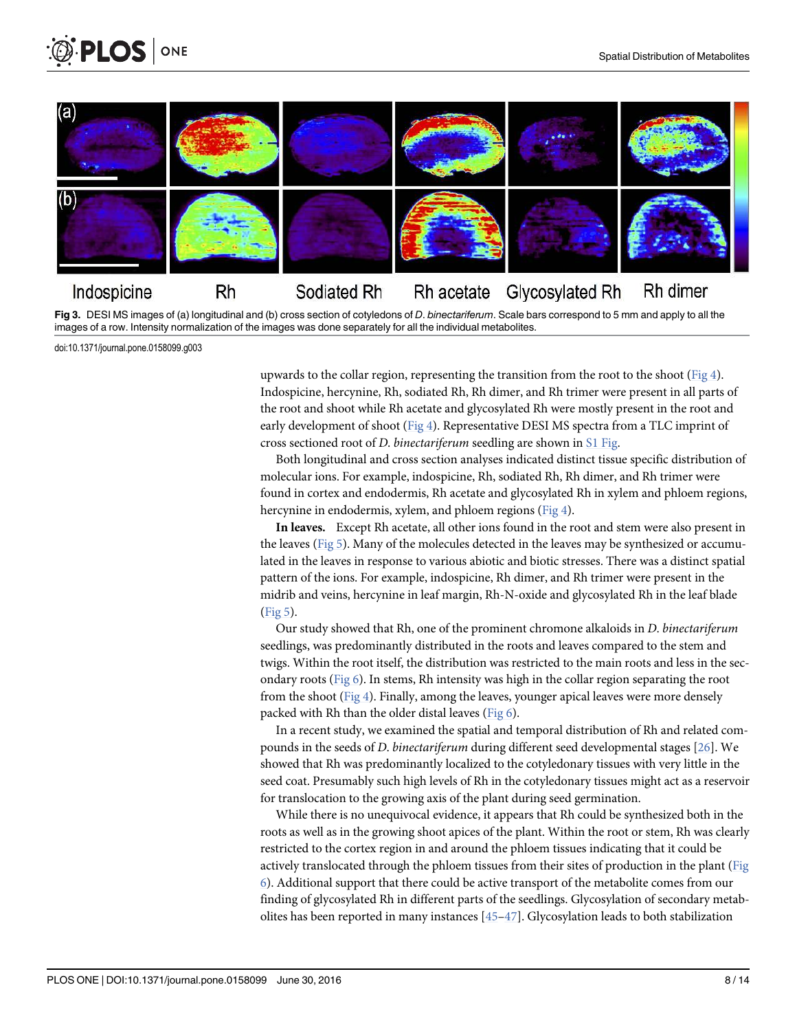



#### Indospicine Sodiated Rh Glycosylated Rh Rh Rh acetate Rh dimer

Fig 3. DESI MS images of (a) longitudinal and (b) cross section of cotyledons of D. binectariferum. Scale bars correspond to 5 mm and apply to all the images of a row. Intensity normalization of the images was done separately for all the individual metabolites.

doi:10.1371/journal.pone.0158099.g003

upwards to the collar region, representing the transition from the root to the shoot (Fig 4). Indospicine, hercynine, Rh, sodiated Rh, Rh dimer, and Rh trimer were present in all parts of the root and shoot while Rh acetate and glycosylated Rh were mostly present in the root and early development of shoot ( $Fig 4$ ). Representative DESI MS spectra from a TLC imprint of cross sectioned root of *D. binectariferum* seedling are shown in  $S1$  Fig.

Both longitudinal and cross section analyses indicated distinct tissue specific distribution of molecular ions. For example, indospicine, Rh, sodiated Rh, Rh dimer, and Rh trimer were found in cortex and endodermis, Rh acetate and glycosylated Rh in xylem and phloem regions, hercynine in endodermis, xylem, and phloem regions (Fig 4).

In leaves. Except Rh acetate, all other ions found in the root and stem were also present in the leaves (Fig 5). Many of the molecules detected in the leaves may be synthesized or accumulated in the leaves in response to various abiotic and biotic stresses. There was a distinct spatial pattern of the ions. For example, indospicine, Rh dimer, and Rh trimer were present in the midrib and veins, hercynine in leaf margin, Rh-N-oxide and glycosylated Rh in the leaf blade (Fig 5).

Our study showed that Rh, one of the prominent chromone alkaloids in D. binectariferum seedlings, was predominantly distributed in the roots and leaves compared to the stem and twigs. Within the root itself, the distribution was restricted to the main roots and less in the secondary roots ( $Fig 6$ ). In stems, Rh intensity was high in the collar region separating the root from the shoot (Fig 4). Finally, among the leaves, younger apical leaves were more densely packed with Rh than the older distal leaves ( $Fig 6$ ).

In a recent study, we examined the spatial and temporal distribution of Rh and related compounds in the seeds of D. binectariferum during different seed developmental stages [26]. We showed that Rh was predominantly localized to the cotyledonary tissues with very little in the seed coat. Presumably such high levels of Rh in the cotyledonary tissues might act as a reservoir for translocation to the growing axis of the plant during seed germination.

While there is no unequivocal evidence, it appears that Rh could be synthesized both in the roots as well as in the growing shoot apices of the plant. Within the root or stem, Rh was clearly restricted to the cortex region in and around the phloem tissues indicating that it could be actively translocated through the phloem tissues from their sites of production in the plant (Fig 6). Additional support that there could be active transport of the metabolite comes from our finding of glycosylated Rh in different parts of the seedlings. Glycosylation of secondary metabolites has been reported in many instances  $[45-47]$ . Glycosylation leads to both stabilization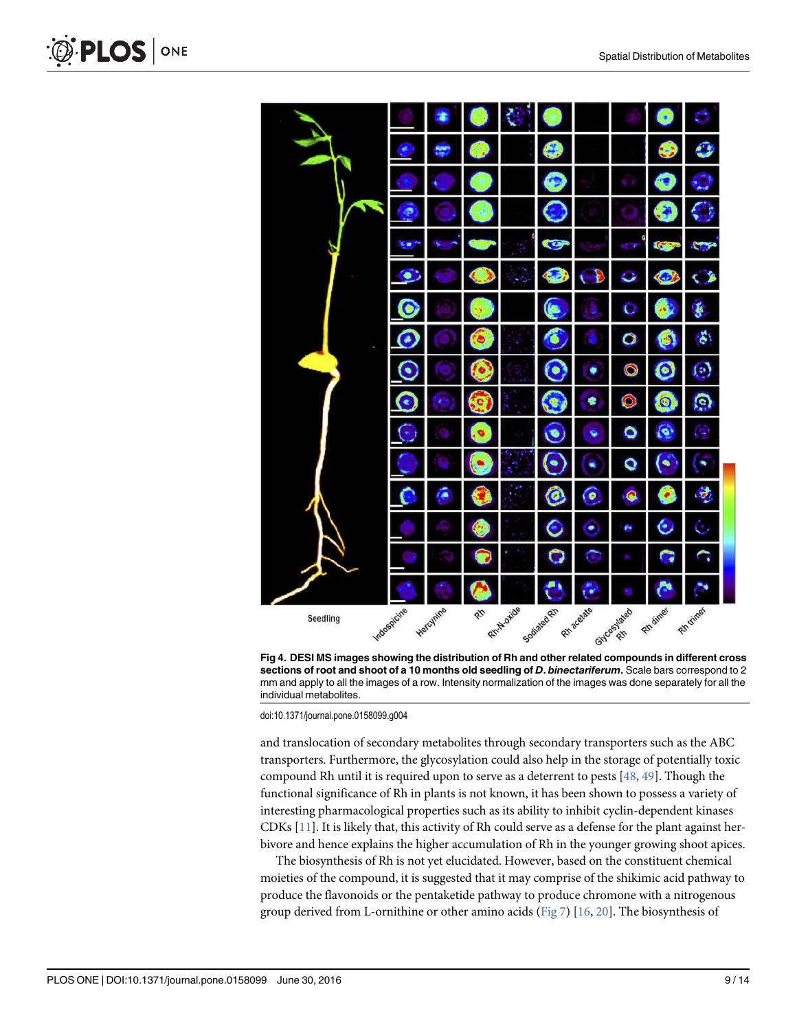



Fig 4. DESI MS images showing the distribution of Rh and other related compounds in different cross sections of root and shoot of a 10 months old seedling of D. binectariferum. Scale bars correspond to 2 mm and apply to all the images of a row. Intensity normalization of the images was done separately for all the individual metabolites.

and translocation of secondary metabolites through secondary transporters such as the ABC transporters. Furthermore, the glycosylation could also help in the storage of potentially toxic compound Rh until it is required upon to serve as a deterrent to pests [48, 49]. Though the functional significance of Rh in plants is not known, it has been shown to possess a variety of interesting pharmacological properties such as its ability to inhibit cyclin-dependent kinases CDKs  $[11]$ . It is likely that, this activity of Rh could serve as a defense for the plant against herbivore and hence explains the higher accumulation of Rh in the younger growing shoot apices.

The biosynthesis of Rh is not yet elucidated. However, based on the constituent chemical moieties of the compound, it is suggested that it may comprise of the shikimic acid pathway to produce the flavonoids or the pentaketide pathway to produce chromone with a nitrogenous group derived from L-ornithine or other amino acids ( $Fig 7$ ) [16, 20]. The biosynthesis of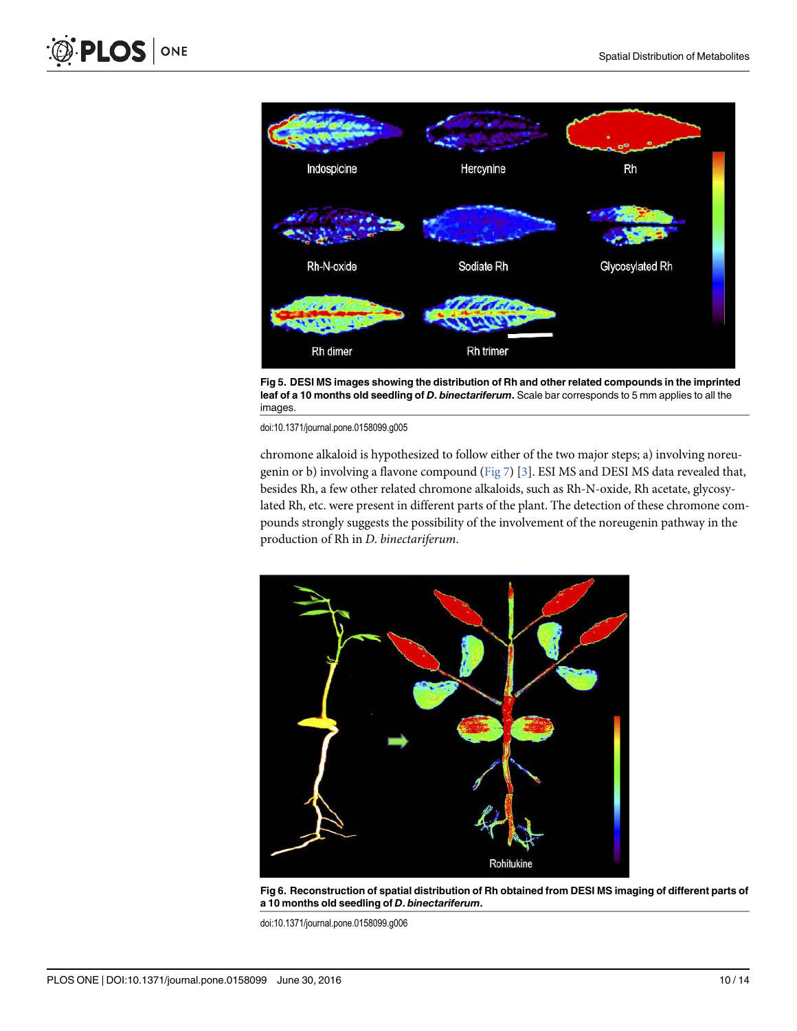

Fig 5. DESI MS images showing the distribution of Rh and other related compounds in the imprinted leaf of a 10 months old seedling of D. binectariferum. Scale bar corresponds to 5 mm applies to all the images.

chromone alkaloid is hypothesized to follow either of the two major steps; a) involving noreugenin or b) involving a flavone compound  $(Fig 7)$  [3]. ESI MS and DESI MS data revealed that, besides Rh, a few other related chromone alkaloids, such as Rh-N-oxide, Rh acetate, glycosylated Rh, etc. were present in different parts of the plant. The detection of these chromone compounds strongly suggests the possibility of the involvement of the noreugenin pathway in the production of Rh in D. binectariferum.



Fig 6. Reconstruction of spatial distribution of Rh obtained from DESI MS imaging of different parts of a 10 months old seedling of D. binectariferum.

doi:10.1371/journal.pone.0158099.g006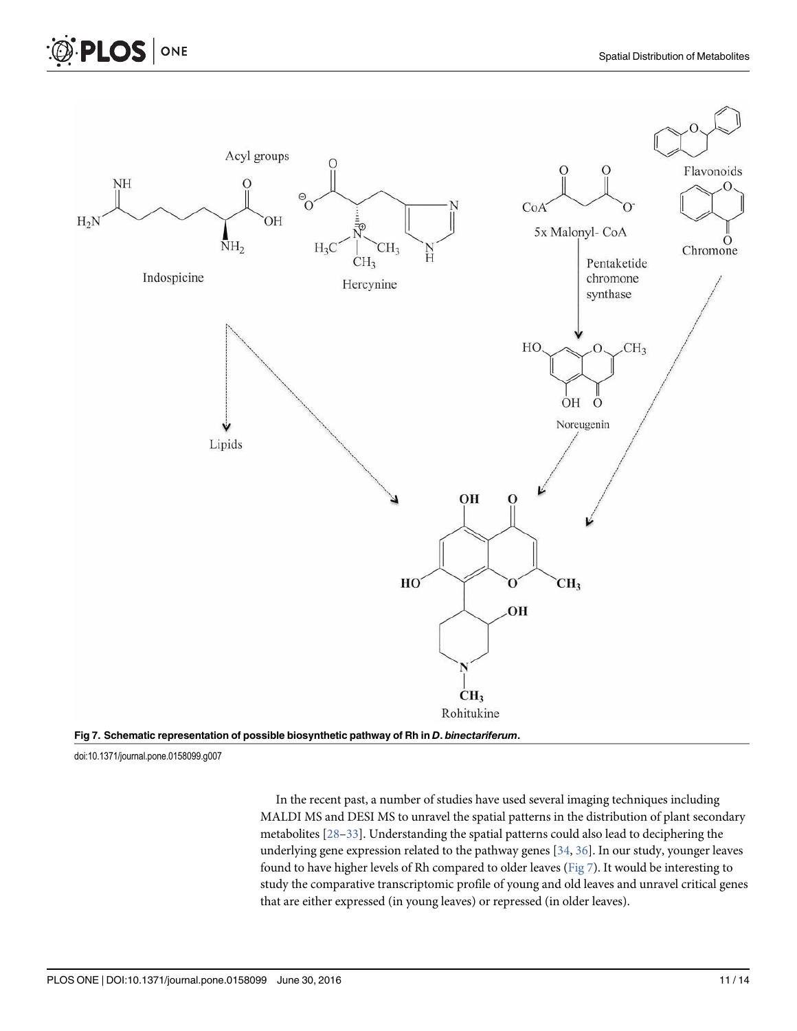

In the recent past, a number of studies have used several imaging techniques including MALDI MS and DESI MS to unravel the spatial patterns in the distribution of plant secondary metabolites [28–33]. Understanding the spatial patterns could also lead to deciphering the underlying gene expression related to the pathway genes [34, 36]. In our study, younger leaves found to have higher levels of Rh compared to older leaves (Fig 7). It would be interesting to study the comparative transcriptomic profile of young and old leaves and unravel critical genes that are either expressed (in young leaves) or repressed (in older leaves).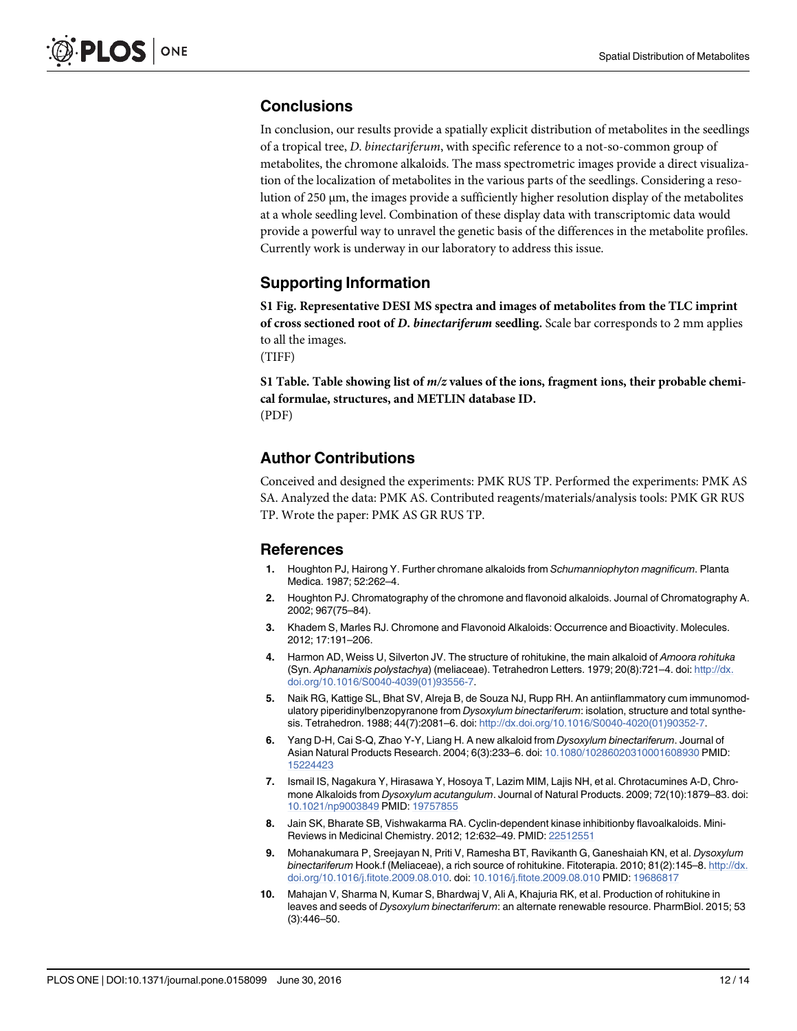#### **Conclusions**

In conclusion, our results provide a spatially explicit distribution of metabolites in the seedlings of a tropical tree, D. binectariferum, with specific reference to a not-so-common group of metabolites, the chromone alkaloids. The mass spectrometric images provide a direct visualization of the localization of metabolites in the various parts of the seedlings. Considering a resolution of 250 μm, the images provide a sufficiently higher resolution display of the metabolites at a whole seedling level. Combination of these display data with transcriptomic data would provide a powerful way to unravel the genetic basis of the differences in the metabolite profiles. Currently work is underway in our laboratory to address this issue.

#### Supporting Information

S1 Fig. Representative DESI MS spectra and images of metabolites from the TLC imprint of cross sectioned root of D. binectariferum seedling. Scale bar corresponds to 2 mm applies to all the images.

(TIFF)

S1 Table. Table showing list of  $m/z$  values of the ions, fragment ions, their probable chemical formulae, structures, and METLIN database ID. (PDF)

#### Author Contributions

Conceived and designed the experiments: PMK RUS TP. Performed the experiments: PMK AS SA. Analyzed the data: PMK AS. Contributed reagents/materials/analysis tools: PMK GR RUS TP. Wrote the paper: PMK AS GR RUS TP.

#### References

- 1. Houghton PJ, Hairong Y. Further chromane alkaloids from Schumanniophyton magnificum. Planta Medica. 1987; 52:262–4.
- 2. Houghton PJ. Chromatography of the chromone and flavonoid alkaloids. Journal of Chromatography A. 2002; 967(75–84).
- 3. Khadem S, Marles RJ. Chromone and Flavonoid Alkaloids: Occurrence and Bioactivity. Molecules. 2012; 17:191–206.
- 4. Harmon AD, Weiss U, Silverton JV. The structure of rohitukine, the main alkaloid of Amoora rohituka (Syn. Aphanamixis polystachya) (meliaceae). Tetrahedron Letters. 1979; 20(8):721–4. doi: http://dx. doi.org/10.1016/S0040-4039(01)93556-7.
- 5. Naik RG, Kattige SL, Bhat SV, Alreja B, de Souza NJ, Rupp RH. An antiinflammatory cum immunomodulatory piperidinylbenzopyranone from Dysoxylum binectariferum: isolation, structure and total synthesis. Tetrahedron. 1988; 44(7):2081–6. doi: http://dx.doi.org/10.1016/S0040-4020(01)90352-7.
- 6. Yang D-H, Cai S-Q, Zhao Y-Y, Liang H. A new alkaloid from Dysoxylum binectariferum. Journal of Asian Natural Products Research. 2004; 6(3):233–6. doi: 10.1080/10286020310001608930 PMID: 15224423
- 7. Ismail IS, Nagakura Y, Hirasawa Y, Hosoya T, Lazim MIM, Lajis NH, et al. Chrotacumines A-D, Chromone Alkaloids from Dysoxylum acutangulum. Journal of Natural Products. 2009; 72(10):1879–83. doi: 10.1021/np9003849 PMID: 19757855
- 8. Jain SK, Bharate SB, Vishwakarma RA. Cyclin-dependent kinase inhibitionby flavoalkaloids. Mini-Reviews in Medicinal Chemistry. 2012; 12:632–49. PMID: 22512551
- 9. Mohanakumara P, Sreejayan N, Priti V, Ramesha BT, Ravikanth G, Ganeshaiah KN, et al. Dysoxylum binectariferum Hook.f (Meliaceae), a rich source of rohitukine. Fitoterapia. 2010; 81(2):145-8. http://dx. doi.org/10.1016/j.fitote.2009.08.010. doi: 10.1016/j.fitote.2009.08.010 PMID: 19686817
- 10. Mahajan V, Sharma N, Kumar S, Bhardwaj V, Ali A, Khajuria RK, et al. Production of rohitukine in leaves and seeds of Dysoxylum binectariferum: an alternate renewable resource. PharmBiol. 2015; 53 (3):446–50.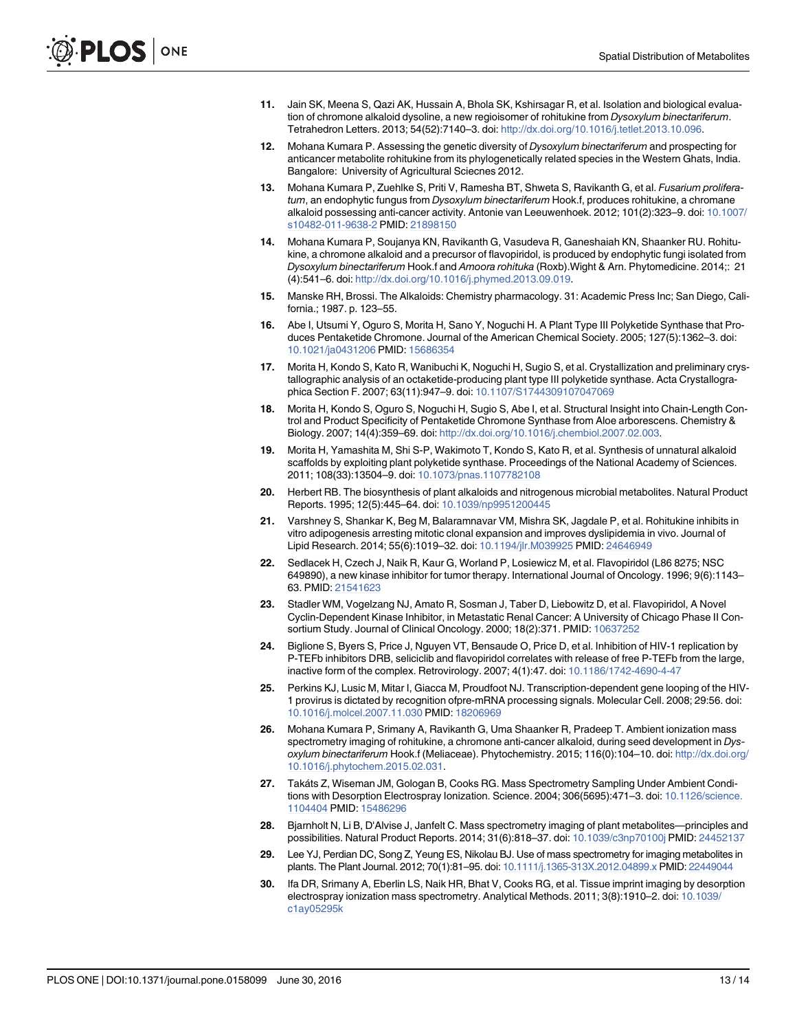- 11. Jain SK, Meena S, Qazi AK, Hussain A, Bhola SK, Kshirsagar R, et al. Isolation and biological evaluation of chromone alkaloid dysoline, a new regioisomer of rohitukine from Dysoxylum binectariferum. Tetrahedron Letters. 2013; 54(52):7140–3. doi: http://dx.doi.org/10.1016/j.tetlet.2013.10.096.
- 12. Mohana Kumara P. Assessing the genetic diversity of Dysoxylum binectariferum and prospecting for anticancer metabolite rohitukine from its phylogenetically related species in the Western Ghats, India. Bangalore: University of Agricultural Sciecnes 2012.
- 13. Mohana Kumara P, Zuehlke S, Priti V, Ramesha BT, Shweta S, Ravikanth G, et al. Fusarium proliferatum, an endophytic fungus from Dysoxylum binectariferum Hook.f, produces rohitukine, a chromane alkaloid possessing anti-cancer activity. Antonie van Leeuwenhoek. 2012; 101(2):323–9. doi: 10.1007/ s10482-011-9638-2 PMID: 21898150
- 14. Mohana Kumara P, Soujanya KN, Ravikanth G, Vasudeva R, Ganeshaiah KN, Shaanker RU. Rohitukine, a chromone alkaloid and a precursor of flavopiridol, is produced by endophytic fungi isolated from Dysoxylum binectariferum Hook.f and Amoora rohituka (Roxb).Wight & Arn. Phytomedicine. 2014;: 21 (4):541–6. doi: http://dx.doi.org/10.1016/j.phymed.2013.09.019.
- 15. Manske RH, Brossi. The Alkaloids: Chemistry pharmacology. 31: Academic Press Inc; San Diego, California.; 1987. p. 123–55.
- 16. Abe I, Utsumi Y, Oguro S, Morita H, Sano Y, Noguchi H. A Plant Type III Polyketide Synthase that Produces Pentaketide Chromone. Journal of the American Chemical Society. 2005; 127(5):1362–3. doi: 10.1021/ja0431206 PMID: 15686354
- 17. Morita H, Kondo S, Kato R, Wanibuchi K, Noguchi H, Sugio S, et al. Crystallization and preliminary crystallographic analysis of an octaketide-producing plant type III polyketide synthase. Acta Crystallographica Section F. 2007; 63(11):947–9. doi: 10.1107/S1744309107047069
- 18. Morita H, Kondo S, Oguro S, Noguchi H, Sugio S, Abe I, et al. Structural Insight into Chain-Length Control and Product Specificity of Pentaketide Chromone Synthase from Aloe arborescens. Chemistry & Biology. 2007; 14(4):359–69. doi: http://dx.doi.org/10.1016/j.chembiol.2007.02.003.
- 19. Morita H, Yamashita M, Shi S-P, Wakimoto T, Kondo S, Kato R, et al. Synthesis of unnatural alkaloid scaffolds by exploiting plant polyketide synthase. Proceedings of the National Academy of Sciences. 2011; 108(33):13504–9. doi: 10.1073/pnas.1107782108
- 20. Herbert RB. The biosynthesis of plant alkaloids and nitrogenous microbial metabolites. Natural Product Reports. 1995; 12(5):445–64. doi: 10.1039/np9951200445
- 21. Varshney S, Shankar K, Beg M, Balaramnavar VM, Mishra SK, Jagdale P, et al. Rohitukine inhibits in vitro adipogenesis arresting mitotic clonal expansion and improves dyslipidemia in vivo. Journal of Lipid Research. 2014; 55(6):1019–32. doi: 10.1194/jlr.M039925 PMID: 24646949
- 22. Sedlacek H, Czech J, Naik R, Kaur G, Worland P, Losiewicz M, et al. Flavopiridol (L86 8275; NSC 649890), a new kinase inhibitor for tumor therapy. International Journal of Oncology. 1996; 9(6):1143– 63. PMID: 21541623
- 23. Stadler WM, Vogelzang NJ, Amato R, Sosman J, Taber D, Liebowitz D, et al. Flavopiridol, A Novel Cyclin-Dependent Kinase Inhibitor, in Metastatic Renal Cancer: A University of Chicago Phase II Consortium Study. Journal of Clinical Oncology. 2000; 18(2):371. PMID: 10637252
- 24. Biglione S, Byers S, Price J, Nguyen VT, Bensaude O, Price D, et al. Inhibition of HIV-1 replication by P-TEFb inhibitors DRB, seliciclib and flavopiridol correlates with release of free P-TEFb from the large, inactive form of the complex. Retrovirology. 2007; 4(1):47. doi: 10.1186/1742-4690-4-47
- 25. Perkins KJ, Lusic M, Mitar I, Giacca M, Proudfoot NJ. Transcription-dependent gene looping of the HIV-1 provirus is dictated by recognition ofpre-mRNA processing signals. Molecular Cell. 2008; 29:56. doi: 10.1016/j.molcel.2007.11.030 PMID: 18206969
- 26. Mohana Kumara P, Srimany A, Ravikanth G, Uma Shaanker R, Pradeep T. Ambient ionization mass spectrometry imaging of rohitukine, a chromone anti-cancer alkaloid, during seed development in Dysoxylum binectariferum Hook.f (Meliaceae). Phytochemistry. 2015; 116(0):104–10. doi: http://dx.doi.org/ 10.1016/j.phytochem.2015.02.031.
- 27. Takáts Z, Wiseman JM, Gologan B, Cooks RG. Mass Spectrometry Sampling Under Ambient Conditions with Desorption Electrospray Ionization. Science. 2004; 306(5695):471-3. doi: 10.1126/science. 1104404 PMID: 15486296
- 28. Bjarnholt N, Li B, D'Alvise J, Janfelt C. Mass spectrometry imaging of plant metabolites—principles and possibilities. Natural Product Reports. 2014; 31(6):818–37. doi: 10.1039/c3np70100j PMID: 24452137
- 29. Lee YJ, Perdian DC, Song Z, Yeung ES, Nikolau BJ. Use of mass spectrometry for imaging metabolites in plants. The Plant Journal. 2012; 70(1):81-95. doi: 10.1111/j.1365-313X.2012.04899.x PMID: 22449044
- 30. Ifa DR, Srimany A, Eberlin LS, Naik HR, Bhat V, Cooks RG, et al. Tissue imprint imaging by desorption electrospray ionization mass spectrometry. Analytical Methods. 2011; 3(8):1910–2. doi: 10.1039/ c1ay05295k